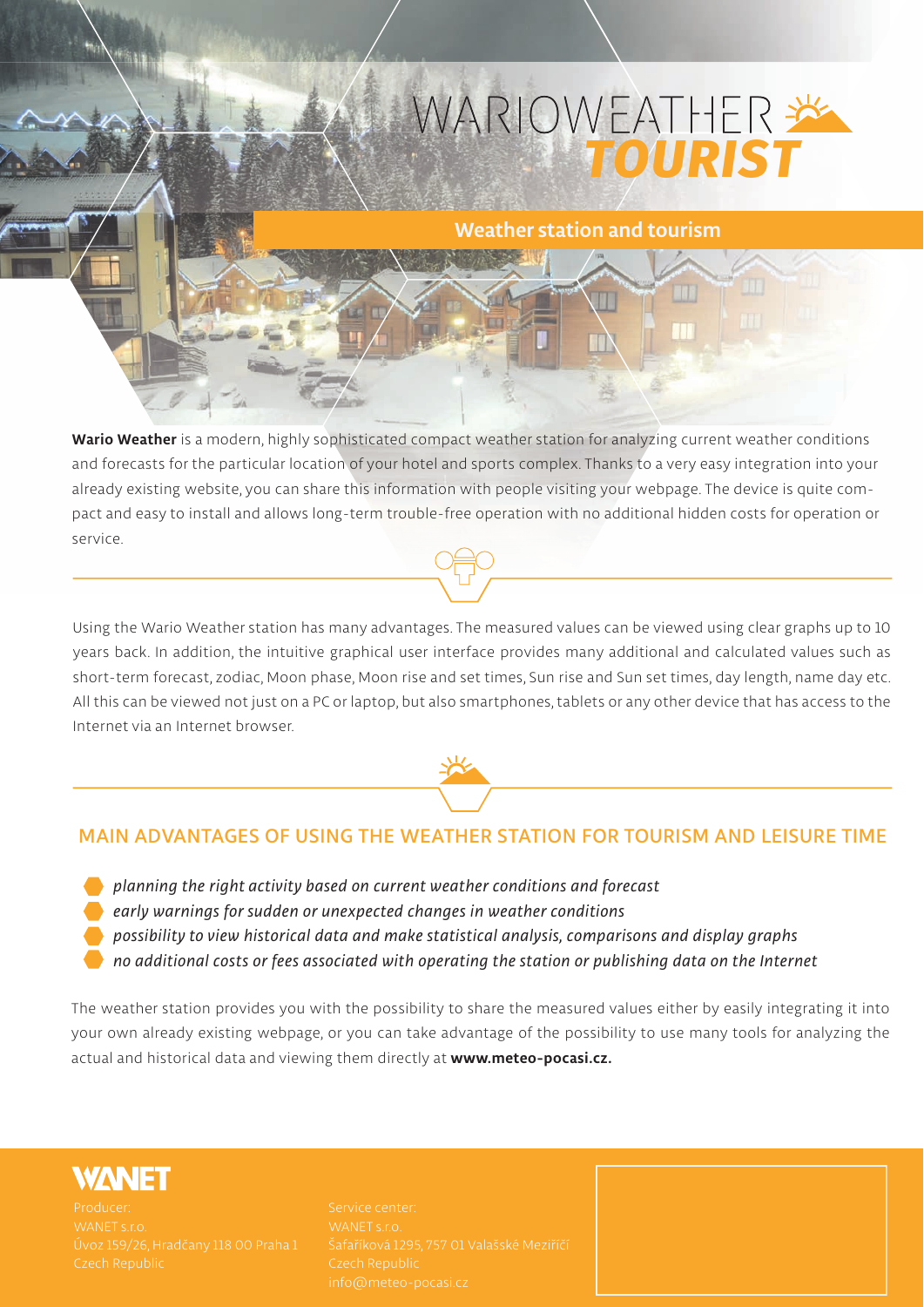## WARIOWEATHER

#### **Weather station and tourism**

**Wario Weather is a modern, highly sophisticated compact weather station for analyzing current weather conditions and forecasts for the particular location of your hotel and sports complex. Thanks to a very easy integration into your already existing website, you can share this information with people visiting your webpage. The device is quite compact and easy to install and allows long-term trouble-free operation with no additional hidden costs for operation or service.** 

**Using the Wario Weather station has many advantages. The measured values can be viewed using clear graphs up to 10 years back. In addition, the intuitive graphical user interface provides many additional and calculated values such as short-term forecast, zodiac, Moon phase, Moon rise and set times, Sun rise and Sun set times, day length, name day etc. All this can be viewed not just on a PC or laptop, but also smartphones, tablets or any other device that has access to the Internet via an Internet browser.**



#### **MAIN ADVANTAGES OF USING THE WEATHER STATION FOR TOURISM AND LEISURE TIME**

- *planning the right activity based on current weather conditions and forecast*
- *early warnings for sudden or unexpected changes in weather conditions*
- *possibility to view historical data and make statistical analysis, comparisons and display graphs*
- *no additional costs or fees associated with operating the station or publishing data on the Internet*

**The weather station provides you with the possibility to share the measured values either by easily integrating it into your own already existing webpage, or you can take advantage of the possibility to use many tools for analyzing the actual and historical data and viewing them directly at www.meteo-pocasi.cz.**